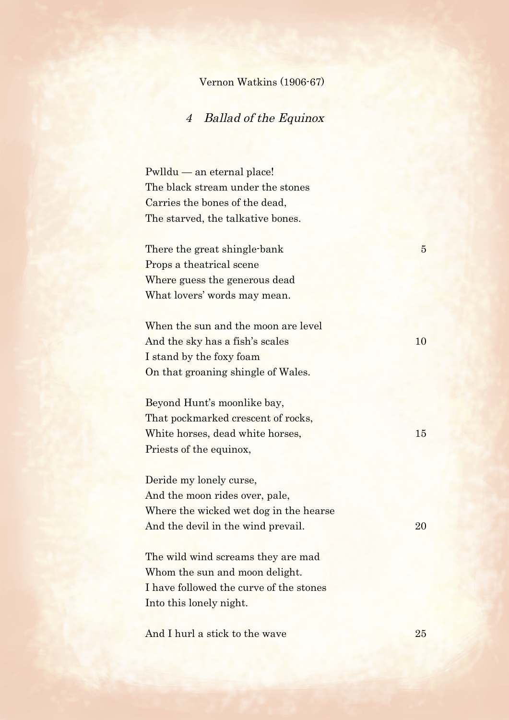## Vernon Watkins (1906-67)

## 4 Ballad of the Equinox

Pwlldu — an eternal place! The black stream under the stones Carries the bones of the dead, The starved, the talkative bones.

There the great shingle-bank 5 Props a theatrical scene Where guess the generous dead What lovers' words may mean.

When the sun and the moon are level And the sky has a fish's scales 10 I stand by the foxy foam On that groaning shingle of Wales.

Beyond Hunt's moonlike bay, That pockmarked crescent of rocks, White horses, dead white horses, 15 Priests of the equinox,

Deride my lonely curse, And the moon rides over, pale, Where the wicked wet dog in the hearse And the devil in the wind prevail. 20

The wild wind screams they are mad Whom the sun and moon delight. I have followed the curve of the stones Into this lonely night.

And I hurl a stick to the wave 25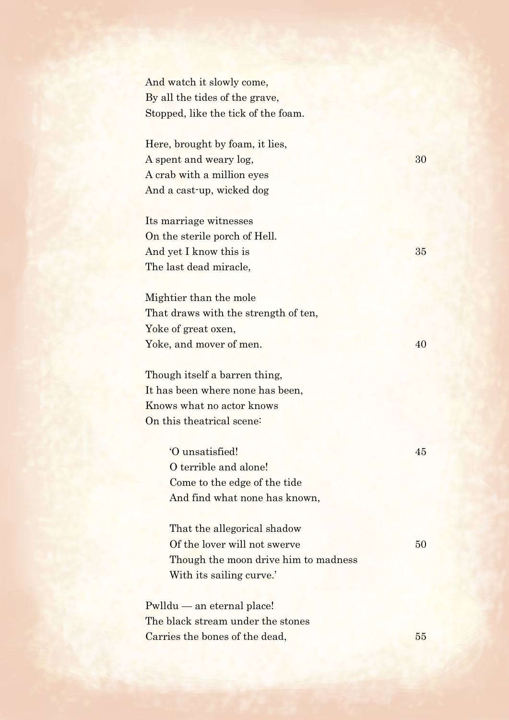And watch it slowly come, By all the tides of the grave, Stopped, like the tick of the foam.

Here, brought by foam, it lies, A spent and weary log, 30 A crab with a million eyes And a cast-up, wicked dog

Its marriage witnesses On the sterile porch of Hell. And yet I know this is 35 The last dead miracle,

Mightier than the mole That draws with the strength of ten, Yoke of great oxen, Yoke, and mover of men. 40

Though itself a barren thing, It has been where none has been, Knows what no actor knows On this theatrical scene:

> 'O unsatisfied! 45 O terrible and alone! Come to the edge of the tide And find what none has known,

> That the allegorical shadow Of the lover will not swerve 50 Though the moon drive him to madness With its sailing curve.'

Pwlldu — an eternal place! The black stream under the stones Carries the bones of the dead, 55